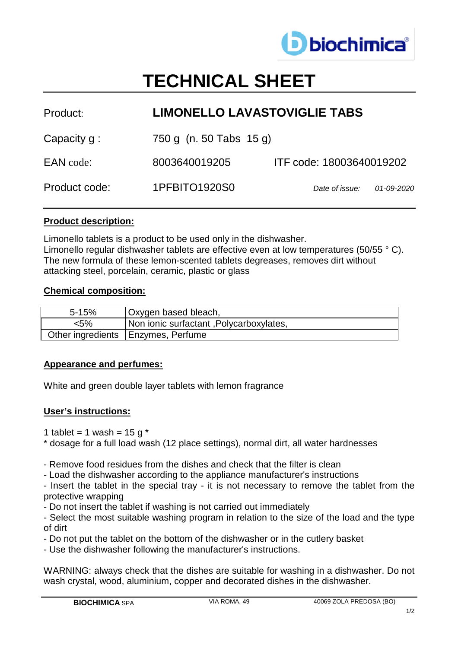

# **TECHNICAL SHEET**

| <b>LIMONELLO LAVASTOVIGLIE TABS</b> |                              |  |
|-------------------------------------|------------------------------|--|
| 750 g (n. 50 Tabs 15 g)             |                              |  |
| 8003640019205                       | ITF code: 18003640019202     |  |
| 1PFBITO1920S0                       | Date of issue:<br>01-09-2020 |  |
|                                     |                              |  |

### **Product description:**

Limonello tablets is a product to be used only in the dishwasher. Limonello regular dishwasher tablets are effective even at low temperatures (50/55 ° C). The new formula of these lemon-scented tablets degreases, removes dirt without attacking steel, porcelain, ceramic, plastic or glass

#### **Chemical composition:**

| $5 - 15%$ | Oxygen based bleach,                    |
|-----------|-----------------------------------------|
| <5%       | Non ionic surfactant, Polycarboxylates, |
|           | Other ingredients   Enzymes, Perfume    |

#### **Appearance and perfumes:**

White and green double layer tablets with lemon fragrance

#### **User's instructions:**

- 1 tablet = 1 wash =  $15 g<sup>*</sup>$
- \* dosage for a full load wash (12 place settings), normal dirt, all water hardnesses

- Remove food residues from the dishes and check that the filter is clean

- Load the dishwasher according to the appliance manufacturer's instructions

- Insert the tablet in the special tray - it is not necessary to remove the tablet from the protective wrapping

- Do not insert the tablet if washing is not carried out immediately

- Select the most suitable washing program in relation to the size of the load and the type of dirt
- Do not put the tablet on the bottom of the dishwasher or in the cutlery basket
- Use the dishwasher following the manufacturer's instructions.

WARNING: always check that the dishes are suitable for washing in a dishwasher. Do not wash crystal, wood, aluminium, copper and decorated dishes in the dishwasher.